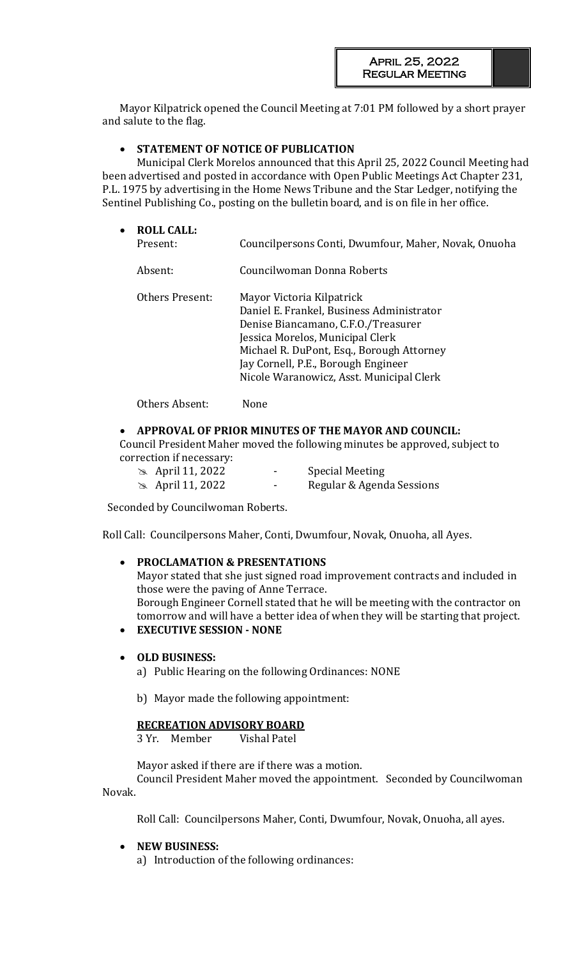Mayor Kilpatrick opened the Council Meeting at 7:01 PM followed by a short prayer and salute to the flag.

# • **STATEMENT OF NOTICE OF PUBLICATION**

Municipal Clerk Morelos announced that this April 25, 2022 Council Meeting had been advertised and posted in accordance with Open Public Meetings Act Chapter 231, P.L. 1975 by advertising in the Home News Tribune and the Star Ledger, notifying the Sentinel Publishing Co., posting on the bulletin board, and is on file in her office.

| $\bullet$ | <b>ROLL CALL:</b><br>Present: | Councilpersons Conti, Dwumfour, Maher, Novak, Onuoha                                                                                                                                                                                                                              |
|-----------|-------------------------------|-----------------------------------------------------------------------------------------------------------------------------------------------------------------------------------------------------------------------------------------------------------------------------------|
|           | Absent:                       | Councilwoman Donna Roberts                                                                                                                                                                                                                                                        |
|           | Others Present:               | Mayor Victoria Kilpatrick<br>Daniel E. Frankel, Business Administrator<br>Denise Biancamano, C.F.O./Treasurer<br>Jessica Morelos, Municipal Clerk<br>Michael R. DuPont, Esq., Borough Attorney<br>Jay Cornell, P.E., Borough Engineer<br>Nicole Waranowicz, Asst. Municipal Clerk |

Others Absent: None

## • **APPROVAL OF PRIOR MINUTES OF THE MAYOR AND COUNCIL:**

Council President Maher moved the following minutes be approved, subject to correction if necessary:

| $\approx$ April 11, 2022 | $\overline{\phantom{a}}$ | <b>Special Meeting</b>    |
|--------------------------|--------------------------|---------------------------|
| $\approx$ April 11, 2022 | $\blacksquare$           | Regular & Agenda Sessions |

Seconded by Councilwoman Roberts.

Roll Call: Councilpersons Maher, Conti, Dwumfour, Novak, Onuoha, all Ayes.

### • **PROCLAMATION & PRESENTATIONS**

Mayor stated that she just signed road improvement contracts and included in those were the paving of Anne Terrace. Borough Engineer Cornell stated that he will be meeting with the contractor on tomorrow and will have a better idea of when they will be starting that project.

## • **EXECUTIVE SESSION - NONE**

### • **OLD BUSINESS:**

a) Public Hearing on the following Ordinances: NONE

b) Mayor made the following appointment:

### **RECREATION ADVISORY BOARD**

3 Yr. Member Vishal Patel

Mayor asked if there are if there was a motion.

Council President Maher moved the appointment. Seconded by Councilwoman Novak.

Roll Call: Councilpersons Maher, Conti, Dwumfour, Novak, Onuoha, all ayes.

### • **NEW BUSINESS:**

a) Introduction of the following ordinances: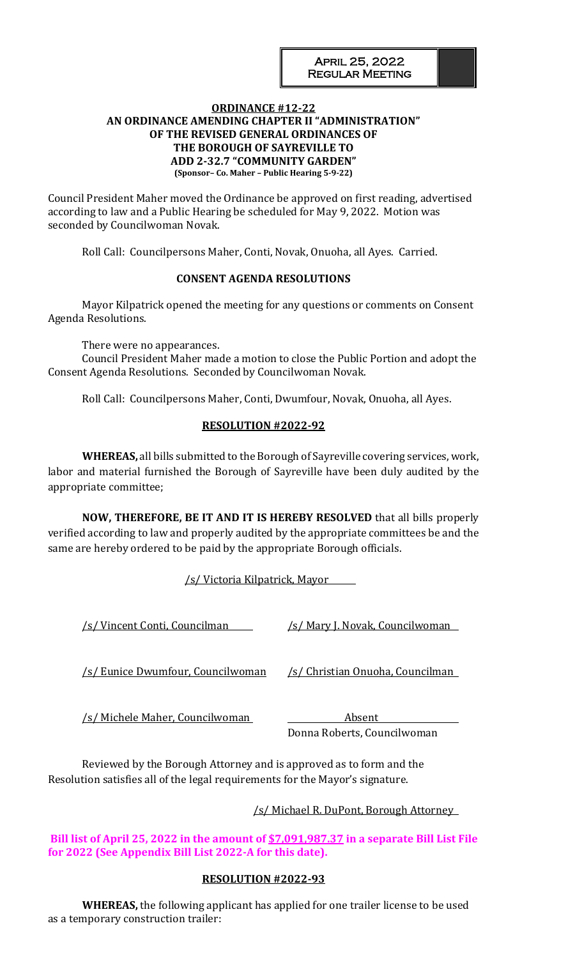### **ORDINANCE #12-22 AN ORDINANCE AMENDING CHAPTER II "ADMINISTRATION" OF THE REVISED GENERAL ORDINANCES OF THE BOROUGH OF SAYREVILLE TO ADD 2-32.7 "COMMUNITY GARDEN" (Sponsor– Co. Maher – Public Hearing 5-9-22)**

Council President Maher moved the Ordinance be approved on first reading, advertised according to law and a Public Hearing be scheduled for May 9, 2022. Motion was seconded by Councilwoman Novak.

Roll Call: Councilpersons Maher, Conti, Novak, Onuoha, all Ayes. Carried.

### **CONSENT AGENDA RESOLUTIONS**

Mayor Kilpatrick opened the meeting for any questions or comments on Consent Agenda Resolutions.

There were no appearances.

Council President Maher made a motion to close the Public Portion and adopt the Consent Agenda Resolutions. Seconded by Councilwoman Novak.

Roll Call: Councilpersons Maher, Conti, Dwumfour, Novak, Onuoha, all Ayes.

# **RESOLUTION #2022-92**

**WHEREAS,** all bills submitted to the Borough of Sayreville covering services, work, labor and material furnished the Borough of Sayreville have been duly audited by the appropriate committee;

**NOW, THEREFORE, BE IT AND IT IS HEREBY RESOLVED** that all bills properly verified according to law and properly audited by the appropriate committees be and the same are hereby ordered to be paid by the appropriate Borough officials.

/s/ Victoria Kilpatrick, Mayor

/s/ Vincent Conti, Councilman /s/ Mary J. Novak, Councilwoman

/s/ Eunice Dwumfour, Councilwoman /s/ Christian Onuoha, Councilman

/s/ Michele Maher, Councilwoman Absent

Donna Roberts, Councilwoman

Reviewed by the Borough Attorney and is approved as to form and the Resolution satisfies all of the legal requirements for the Mayor's signature.

# /s/ Michael R. DuPont, Borough Attorney

**Bill list of April 25, 2022 in the amount of \$7,091,987.37 in a separate Bill List File for 2022 (See Appendix Bill List 2022-A for this date).**

# **RESOLUTION #2022-93**

**WHEREAS,** the following applicant has applied for one trailer license to be used as a temporary construction trailer: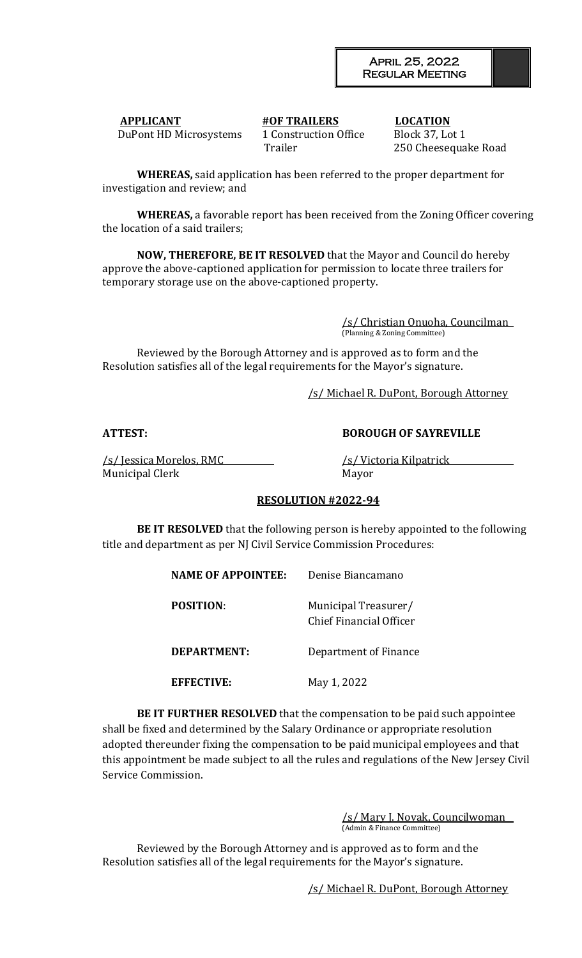**APPLICANT #OF TRAILERS LOCATION** DuPont HD Microsystems 1 Construction Office Block 37, Lot 1

Trailer 250 Cheesequake Road

**WHEREAS,** said application has been referred to the proper department for investigation and review; and

**WHEREAS,** a favorable report has been received from the Zoning Officer covering the location of a said trailers;

**NOW, THEREFORE, BE IT RESOLVED** that the Mayor and Council do hereby approve the above-captioned application for permission to locate three trailers for temporary storage use on the above-captioned property.

> /s/ Christian Onuoha, Councilman (Planning & Zoning Committee)

Reviewed by the Borough Attorney and is approved as to form and the Resolution satisfies all of the legal requirements for the Mayor's signature.

/s/ Michael R. DuPont, Borough Attorney

**ATTEST: BOROUGH OF SAYREVILLE**

/s/ Jessica Morelos, RMC /s/ Victoria Kilpatrick Municipal Clerk Mayor

# **RESOLUTION #2022-94**

**BE IT RESOLVED** that the following person is hereby appointed to the following title and department as per NJ Civil Service Commission Procedures:

| <b>NAME OF APPOINTEE:</b> | Denise Biancamano                               |
|---------------------------|-------------------------------------------------|
| <b>POSITION:</b>          | Municipal Treasurer/<br>Chief Financial Officer |
| DEPARTMENT:               | Department of Finance                           |
| <b>EFFECTIVE:</b>         | May 1, 2022                                     |

**BE IT FURTHER RESOLVED** that the compensation to be paid such appointee shall be fixed and determined by the Salary Ordinance or appropriate resolution adopted thereunder fixing the compensation to be paid municipal employees and that this appointment be made subject to all the rules and regulations of the New Jersey Civil Service Commission.

> /s/ Mary J. Novak, Councilwoman (Admin & Finance Committee)

Reviewed by the Borough Attorney and is approved as to form and the Resolution satisfies all of the legal requirements for the Mayor's signature.

/s/ Michael R. DuPont, Borough Attorney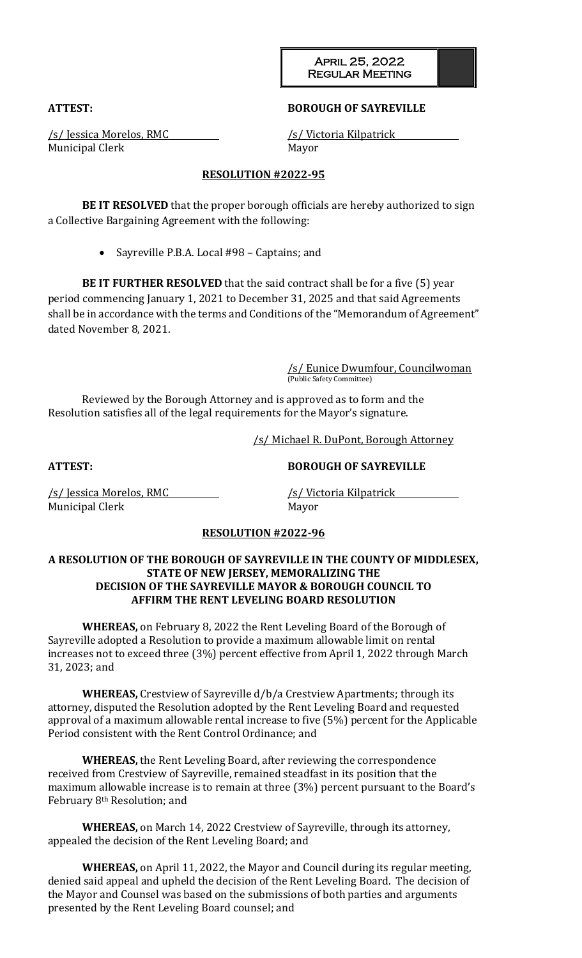April 25, 2022 Regular Meeting

### **ATTEST: BOROUGH OF SAYREVILLE**

Municipal Clerk Mayor

/s/ Jessica Morelos, RMC /s/ Victoria Kilpatrick

## **RESOLUTION #2022-95**

**BE IT RESOLVED** that the proper borough officials are hereby authorized to sign a Collective Bargaining Agreement with the following:

• Sayreville P.B.A. Local #98 – Captains; and

**BE IT FURTHER RESOLVED** that the said contract shall be for a five (5) year period commencing January 1, 2021 to December 31, 2025 and that said Agreements shall be in accordance with the terms and Conditions of the "Memorandum of Agreement" dated November 8, 2021.

> /s/ Eunice Dwumfour, Councilwoman (Public Safety Committee)

Reviewed by the Borough Attorney and is approved as to form and the Resolution satisfies all of the legal requirements for the Mayor's signature.

/s/ Michael R. DuPont, Borough Attorney

**ATTEST: BOROUGH OF SAYREVILLE**

/s/ Jessica Morelos, RMC /s/ Victoria Kilpatrick Municipal Clerk Mayor

### **RESOLUTION #2022-96**

## **A RESOLUTION OF THE BOROUGH OF SAYREVILLE IN THE COUNTY OF MIDDLESEX, STATE OF NEW JERSEY, MEMORALIZING THE DECISION OF THE SAYREVILLE MAYOR & BOROUGH COUNCIL TO AFFIRM THE RENT LEVELING BOARD RESOLUTION**

**WHEREAS,** on February 8, 2022 the Rent Leveling Board of the Borough of Sayreville adopted a Resolution to provide a maximum allowable limit on rental increases not to exceed three (3%) percent effective from April 1, 2022 through March 31, 2023; and

**WHEREAS,** Crestview of Sayreville d/b/a Crestview Apartments; through its attorney, disputed the Resolution adopted by the Rent Leveling Board and requested approval of a maximum allowable rental increase to five (5%) percent for the Applicable Period consistent with the Rent Control Ordinance; and

**WHEREAS,** the Rent Leveling Board, after reviewing the correspondence received from Crestview of Sayreville, remained steadfast in its position that the maximum allowable increase is to remain at three (3%) percent pursuant to the Board's February 8th Resolution; and

**WHEREAS,** on March 14, 2022 Crestview of Sayreville, through its attorney, appealed the decision of the Rent Leveling Board; and

**WHEREAS,** on April 11, 2022, the Mayor and Council during its regular meeting, denied said appeal and upheld the decision of the Rent Leveling Board. The decision of the Mayor and Counsel was based on the submissions of both parties and arguments presented by the Rent Leveling Board counsel; and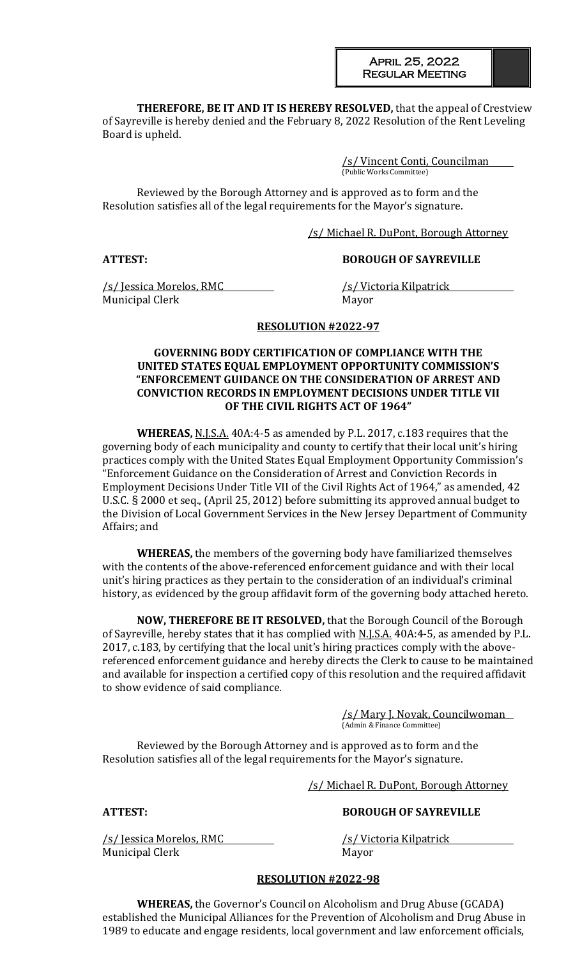April 25, 2022 Regular Meeting

**THEREFORE, BE IT AND IT IS HEREBY RESOLVED,** that the appeal of Crestview of Sayreville is hereby denied and the February 8, 2022 Resolution of the Rent Leveling Board is upheld.

> /s/ Vincent Conti, Councilman (Public Works Committee)

Reviewed by the Borough Attorney and is approved as to form and the Resolution satisfies all of the legal requirements for the Mayor's signature.

/s/ Michael R. DuPont, Borough Attorney

### **ATTEST: BOROUGH OF SAYREVILLE**

/s/ Jessica Morelos, RMC /s/ Victoria Kilpatrick Municipal Clerk Mayor

### **RESOLUTION #2022-97**

#### **GOVERNING BODY CERTIFICATION OF COMPLIANCE WITH THE UNITED STATES EQUAL EMPLOYMENT OPPORTUNITY COMMISSION'S "ENFORCEMENT GUIDANCE ON THE CONSIDERATION OF ARREST AND CONVICTION RECORDS IN EMPLOYMENT DECISIONS UNDER TITLE VII OF THE CIVIL RIGHTS ACT OF 1964"**

**WHEREAS,** N.J.S.A. 40A:4-5 as amended by P.L. 2017, c.183 requires that the governing body of each municipality and county to certify that their local unit's hiring practices comply with the United States Equal Employment Opportunity Commission's "Enforcement Guidance on the Consideration of Arrest and Conviction Records in Employment Decisions Under Title VII of the Civil Rights Act of 1964," as amended, 42 U.S.C. § 2000 et seq., (April 25, 2012) before submitting its approved annual budget to the Division of Local Government Services in the New Jersey Department of Community Affairs; and

**WHEREAS,** the members of the governing body have familiarized themselves with the contents of the above-referenced enforcement guidance and with their local unit's hiring practices as they pertain to the consideration of an individual's criminal history, as evidenced by the group affidavit form of the governing body attached hereto.

**NOW, THEREFORE BE IT RESOLVED,** that the Borough Council of the Borough of Sayreville, hereby states that it has complied with N.J.S.A. 40A:4-5, as amended by P.L. 2017, c.183, by certifying that the local unit's hiring practices comply with the abovereferenced enforcement guidance and hereby directs the Clerk to cause to be maintained and available for inspection a certified copy of this resolution and the required affidavit to show evidence of said compliance.

> /s/ Mary J. Novak, Councilwoman (Admin & Finance Committee)

Reviewed by the Borough Attorney and is approved as to form and the Resolution satisfies all of the legal requirements for the Mayor's signature.

/s/ Michael R. DuPont, Borough Attorney

/s/ Jessica Morelos, RMC /s/ Victoria Kilpatrick Municipal Clerk Mayor

### **ATTEST: BOROUGH OF SAYREVILLE**

### **RESOLUTION #2022-98**

**WHEREAS,** the Governor's Council on Alcoholism and Drug Abuse (GCADA) established the Municipal Alliances for the Prevention of Alcoholism and Drug Abuse in 1989 to educate and engage residents, local government and law enforcement officials,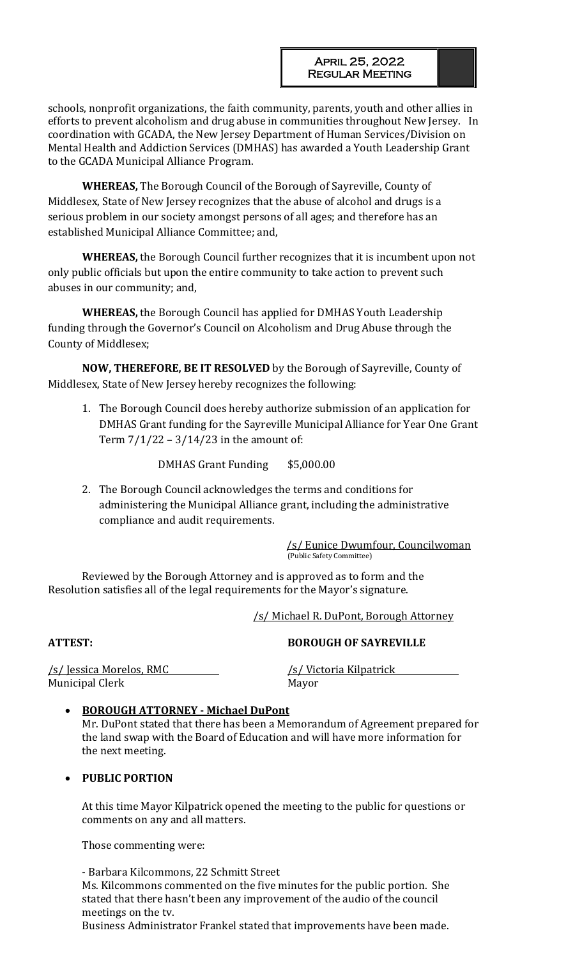schools, nonprofit organizations, the faith community, parents, youth and other allies in efforts to prevent alcoholism and drug abuse in communities throughout New Jersey. In coordination with GCADA, the New Jersey Department of Human Services/Division on Mental Health and Addiction Services (DMHAS) has awarded a Youth Leadership Grant to the GCADA Municipal Alliance Program.

**WHEREAS,** The Borough Council of the Borough of Sayreville, County of Middlesex, State of New Jersey recognizes that the abuse of alcohol and drugs is a serious problem in our society amongst persons of all ages; and therefore has an established Municipal Alliance Committee; and,

**WHEREAS,** the Borough Council further recognizes that it is incumbent upon not only public officials but upon the entire community to take action to prevent such abuses in our community; and,

**WHEREAS,** the Borough Council has applied for DMHAS Youth Leadership funding through the Governor's Council on Alcoholism and Drug Abuse through the County of Middlesex;

**NOW, THEREFORE, BE IT RESOLVED** by the Borough of Sayreville, County of Middlesex, State of New Jersey hereby recognizes the following:

1. The Borough Council does hereby authorize submission of an application for DMHAS Grant funding for the Sayreville Municipal Alliance for Year One Grant Term 7/1/22 – 3/14/23 in the amount of:

DMHAS Grant Funding \$5,000.00

2. The Borough Council acknowledges the terms and conditions for administering the Municipal Alliance grant, including the administrative compliance and audit requirements.

 /s/ Eunice Dwumfour, Councilwoman (Public Safety Committee)

Reviewed by the Borough Attorney and is approved as to form and the Resolution satisfies all of the legal requirements for the Mayor's signature.

/s/ Michael R. DuPont, Borough Attorney

**ATTEST: BOROUGH OF SAYREVILLE**

Municipal Clerk Mayor

/s/ Jessica Morelos, RMC /s/ Victoria Kilpatrick

# • **BOROUGH ATTORNEY - Michael DuPont**

Mr. DuPont stated that there has been a Memorandum of Agreement prepared for the land swap with the Board of Education and will have more information for the next meeting.

# • **PUBLIC PORTION**

At this time Mayor Kilpatrick opened the meeting to the public for questions or comments on any and all matters.

Those commenting were:

- Barbara Kilcommons, 22 Schmitt Street Ms. Kilcommons commented on the five minutes for the public portion. She stated that there hasn't been any improvement of the audio of the council meetings on the tv.

Business Administrator Frankel stated that improvements have been made.